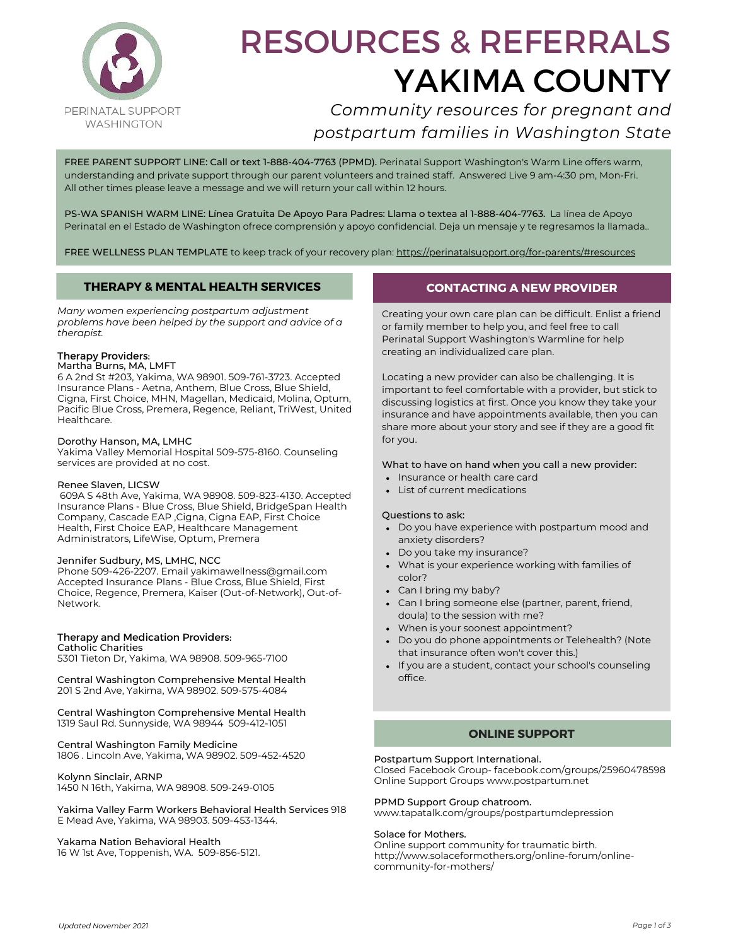

# RESOURCES & REFERRALS YAKIMA COUNTY

## *Community resources for pregnant and postpartum families in Washington State*

FREE PARENT SUPPORT LINE: Call or text 1-888-404-7763 (PPMD). Perinatal Support Washington's Warm Line offers warm, understanding and private support through our parent volunteers and trained staff. Answered Live 9 am-4:30 pm, Mon-Fri. All other times please leave a message and we will return your call within 12 hours.

PS-WA SPANISH WARM LINE: Línea Gratuita De Apoyo Para Padres: Llama o textea al 1-888-404-7763. La línea de Apoyo Perinatal en el Estado de Washington ofrece comprensión y apoyo confidencial. Deja un mensaje y te regresamos la llamada..

FREE WELLNESS PLAN TEMPLATE to keep track of your recovery plan:<https://perinatalsupport.org/for-parents/#resources>

## **THERAPY & MENTAL HEALTH SERVICES**

*Many women experiencing postpartum adjustment problems have been helped by the support and advice of a therapist.*

## Therapy Providers:

#### Martha Burns, MA, LMFT

6 A 2nd St #203, Yakima, WA 98901. 509-761-3723. Accepted Insurance Plans - Aetna, Anthem, Blue Cross, Blue Shield, Cigna, First Choice, MHN, Magellan, Medicaid, Molina, Optum, Pacific Blue Cross, Premera, Regence, Reliant, TriWest, United Healthcare.

#### Dorothy Hanson, MA, LMHC

Yakima Valley Memorial Hospital 509-575-8160. Counseling services are provided at no cost.

#### Renee Slaven, LICSW

 609A S 48th Ave, Yakima, WA 98908. 509-823-4130. Accepted Insurance Plans - Blue Cross, Blue Shield, BridgeSpan Health Company, Cascade EAP ,Cigna, Cigna EAP, First Choice Health, First Choice EAP, Healthcare Management Administrators, LifeWise, Optum, Premera

#### Jennifer Sudbury, MS, LMHC, NCC

Phone 509-426-2207. Email [yakimawellness@gmail.com](mailto:yakimawellness@gmail.com) Accepted Insurance Plans - Blue Cross, Blue Shield, First Choice, Regence, Premera, Kaiser (Out-of-Network), Out-of-Network.

#### Therapy and Medication Providers:

Catholic Charities 5301 Tieton Dr, Yakima, WA 98908. 509-965-7100

Central Washington Comprehensive Mental Health 201 S 2nd Ave, Yakima, WA 98902. 509-575-4084

#### Central Washington Comprehensive Mental Health 1319 Saul Rd. Sunnyside, WA 98944 509-412-1051

#### Central Washington Family Medicine

1806 . Lincoln Ave, Yakima, WA 98902. 509-452-4520

#### Kolynn Sinclair, ARNP

1450 N 16th, Yakima, WA 98908. 509-249-0105

Yakima Valley Farm Workers Behavioral Health Services 918 E Mead Ave, Yakima, WA 98903. 509-453-1344.

#### Yakama Nation Behavioral Health

16 W 1st Ave, Toppenish, WA. 509-856-5121.

## **CONTACTING A NEW PROVIDER**

Creating your own care plan can be difficult. Enlist a friend or family member to help you, and feel free to call Perinatal Support Washington's Warmline for help creating an individualized care plan.

Locating a new provider can also be challenging. It is important to feel comfortable with a provider, but stick to discussing logistics at first. Once you know they take your insurance and have appointments available, then you can share more about your story and see if they are a good fit for you.

#### What to have on hand when you call a new provider:

- Insurance or health care card
- List of current medications

#### Questions to ask:

- Do you have experience with postpartum mood and anxiety disorders?
- Do you take my insurance?
- What is your experience working with families of color?
- Can I bring my baby?
- Can I bring someone else (partner, parent, friend, doula) to the session with me?
- When is your soonest appointment?
- Do you do phone appointments or Telehealth? (Note that insurance often won't cover this.)
- If you are a student, contact your school's counseling office.

#### **ONLINE SUPPORT**

#### Postpartum Support International.

Closed Facebook Group- facebook.com/groups/25960478598 Online Support Groups www.postpartum.net

#### PPMD Support Group chatroom.

www.tapatalk.com/groups/postpartumdepression

#### Solace for Mothers.

Online support community for traumatic birth. http://www.solaceformothers.org/online-forum/onlinecommunity-for-mothers/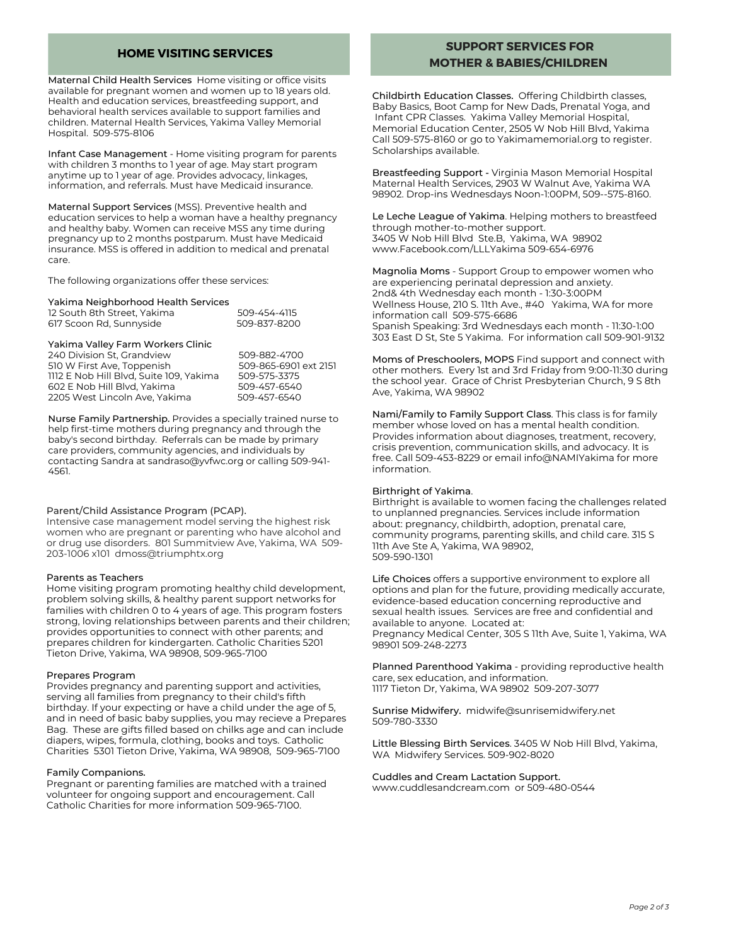## **HOME VISITING SERVICES**

Maternal Child Health Services Home visiting or office visits available for pregnant women and women up to 18 years old. Health and education services, breastfeeding support, and behavioral health services available to support families and children. Maternal Health Services, Yakima Valley Memorial Hospital. 509-575-8106

Infant Case Management - Home visiting program for parents with children 3 months to 1 year of age. May start program anytime up to 1 year of age. Provides advocacy, linkages, information, and referrals. Must have Medicaid insurance.

Maternal Support Services (MSS). Preventive health and education services to help a woman have a healthy pregnancy and healthy baby. Women can receive MSS any time during pregnancy up to 2 months postparum. Must have Medicaid insurance. MSS is offered in addition to medical and prenatal care.

The following organizations offer these services:

#### Yakima Neighborhood Health Services

| 12 South 8th Street, Yakima | 509-454-4115 |
|-----------------------------|--------------|
| 617 Scoon Rd, Sunnyside     | 509-837-8200 |

| Yakima Valley Farm Workers Clinic       |                       |
|-----------------------------------------|-----------------------|
| 240 Division St. Grandview              | 509-882-4700          |
| 510 W First Ave, Toppenish              | 509-865-6901 ext 2151 |
| 1112 E Nob Hill Blyd. Suite 109. Yakima | 509-575-3375          |
| 602 E Nob Hill Blvd, Yakima             | 509-457-6540          |
| 2205 West Lincoln Ave, Yakima           | 509-457-6540          |

Nurse Family Partnership. Provides a specially trained nurse to help first-time mothers during pregnancy and through the baby's second birthday. Referrals can be made by primary care providers, community agencies, and individuals by contacting Sandra at [sandraso@yvfwc.org](mailto:sandraso@yvfwc.org) or calling 509-941- 4561.

#### Parent/Child Assistance Program (PCAP).

Intensive case management model serving the highest risk women who are pregnant or parenting who have alcohol and or drug use disorders. 801 Summitview Ave, Yakima, WA 509- 203-1006 x101 dmoss@triumphtx.org

#### Parents as Teachers

Home visiting program promoting healthy child development, problem solving skills, & healthy parent support networks for families with children 0 to 4 years of age. This program fosters strong, loving relationships between parents and their children; provides opportunities to connect with other parents; and prepares children for kindergarten. Catholic Charities 5201 Tieton Drive, Yakima, WA 98908, 509-965-7100

#### Prepares Program

Provides pregnancy and parenting support and activities, serving all families from pregnancy to their child's fifth birthday. If your expecting or have a child under the age of 5, and in need of basic baby supplies, you may recieve a Prepares Bag. These are gifts filled based on chilks age and can include diapers, wipes, formula, clothing, books and toys. Catholic Charities 5301 Tieton Drive, Yakima, WA 98908, 509-965-7100

#### Family Companions.

Pregnant or parenting families are matched with a trained volunteer for ongoing support and encouragement. Call Catholic Charities for more information 509-965-7100.

## **SUPPORT SERVICES FOR MOTHER & BABIES/CHILDREN**

Childbirth Education Classes. Offering Childbirth classes, Baby Basics, Boot Camp for New Dads, Prenatal Yoga, and Infant CPR Classes. Yakima Valley Memorial Hospital, Memorial Education Center, 2505 W Nob Hill Blvd, Yakima Call 509-575-8160 or go to Yakimamemorial.org to register. Scholarships available.

Breastfeeding Support - Virginia Mason Memorial Hospital Maternal Health Services, 2903 W Walnut Ave, Yakima WA 98902. Drop-ins Wednesdays Noon-1:00PM, 509--575-8160.

Le Leche League of Yakima. Helping mothers to breastfeed through mother-to-mother support. 3405 W Nob Hill Blvd Ste.B, Yakima, WA 98902 www.Facebook.com/LLLYakima 509-654-6976

Magnolia Moms - Support Group to empower women who are experiencing perinatal depression and anxiety. 2nd& 4th Wednesday each month - 1:30-3:00PM Wellness House, 210 S. 11th Ave., #40 Yakima, WA for more information call 509-575-6686 Spanish Speaking: 3rd Wednesdays each month - 11:30-1:00 303 East D St, Ste 5 Yakima. For information call 509-901-9132

Moms of Preschoolers, MOPS Find support and connect with other mothers. Every 1st and 3rd Friday from 9:00-11:30 during the school year. Grace of Christ Presbyterian Church, 9 S 8th Ave, Yakima, WA 98902

Nami/Family to Family Support Class. This class is for family member whose loved on has a mental health condition. Provides information about diagnoses, treatment, recovery, crisis prevention, communication skills, and advocacy. It is free. Call 509-453-8229 or email info@NAMIYakima for more information.

#### Birthright of Yakima.

Birthright is available to women facing the challenges related to unplanned pregnancies. Services include information about: pregnancy, childbirth, adoption, prenatal care, community programs, parenting skills, and child care. 315 S 11th Ave Ste A, Yakima, WA 98902, 509-590-1301

Life Choices offers a supportive environment to explore all options and plan for the future, providing medically accurate, evidence-based education concerning reproductive and sexual health issues. Services are free and confidential and available to anyone. Located at: Pregnancy Medical Center, 305 S 11th Ave, Suite 1, Yakima, WA 98901 509-248-2273

Planned Parenthood Yakima - providing reproductive health care, sex education, and information. 1117 Tieton Dr, Yakima, WA 98902 509-207-3077

Sunrise Midwifery. midwife@sunrisemidwifery.net 509-780-3330

Little Blessing Birth Services. 3405 W Nob Hill Blvd, Yakima, WA Midwifery Services. 509-902-8020

Cuddles and Cream Lactation Support. www.cuddlesandcream.com or 509-480-0544